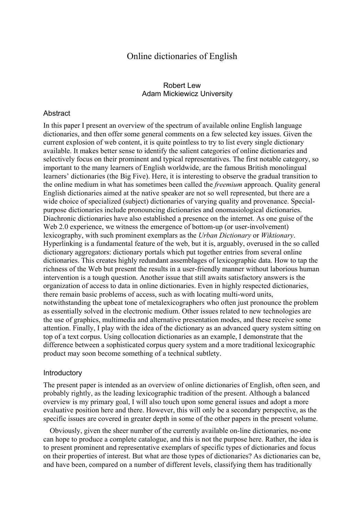# Online dictionaries of English

### Robert Lew Adam Mickiewicz University

#### **Abstract**

In this paper I present an overview of the spectrum of available online English language dictionaries, and then offer some general comments on a few selected key issues. Given the current explosion of web content, it is quite pointless to try to list every single dictionary available. It makes better sense to identify the salient categories of online dictionaries and selectively focus on their prominent and typical representatives. The first notable category, so important to the many learners of English worldwide, are the famous British monolingual learners' dictionaries (the Big Five). Here, it is interesting to observe the gradual transition to the online medium in what has sometimes been called the freemium approach. Quality general English dictionaries aimed at the native speaker are not so well represented, but there are a wide choice of specialized (subject) dictionaries of varying quality and provenance. Specialpurpose dictionaries include pronouncing dictionaries and onomasiological dictionaries. Diachronic dictionaries have also established a presence on the internet. As one guise of the Web 2.0 experience, we witness the emergence of bottom-up (or user-involvement) lexicography, with such prominent exemplars as the Urban Dictionary or Wiktionary. Hyperlinking is a fundamental feature of the web, but it is, arguably, overused in the so called dictionary aggregators: dictionary portals which put together entries from several online dictionaries. This creates highly redundant assemblages of lexicographic data. How to tap the richness of the Web but present the results in a user-friendly manner without laborious human intervention is a tough question. Another issue that still awaits satisfactory answers is the organization of access to data in online dictionaries. Even in highly respected dictionaries, there remain basic problems of access, such as with locating multi-word units, notwithstanding the upbeat tone of metalexicographers who often just pronounce the problem as essentially solved in the electronic medium. Other issues related to new technologies are the use of graphics, multimedia and alternative presentation modes, and these receive some attention. Finally, I play with the idea of the dictionary as an advanced query system sitting on top of a text corpus. Using collocation dictionaries as an example, I demonstrate that the difference between a sophisticated corpus query system and a more traditional lexicographic product may soon become something of a technical subtlety.

#### **Introductory**

The present paper is intended as an overview of online dictionaries of English, often seen, and probably rightly, as the leading lexicographic tradition of the present. Although a balanced overview is my primary goal, I will also touch upon some general issues and adopt a more evaluative position here and there. However, this will only be a secondary perspective, as the specific issues are covered in greater depth in some of the other papers in the present volume.

Obviously, given the sheer number of the currently available on-line dictionaries, no-one can hope to produce a complete catalogue, and this is not the purpose here. Rather, the idea is to present prominent and representative exemplars of specific types of dictionaries and focus on their properties of interest. But what are those types of dictionaries? As dictionaries can be, and have been, compared on a number of different levels, classifying them has traditionally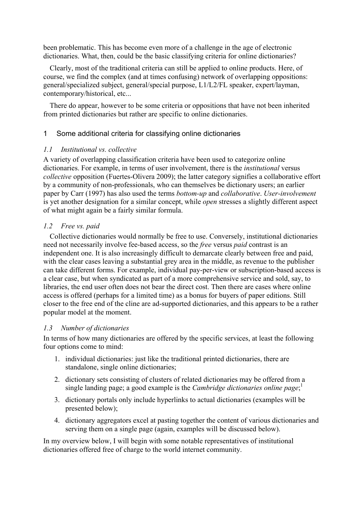been problematic. This has become even more of a challenge in the age of electronic dictionaries. What, then, could be the basic classifying criteria for online dictionaries?

Clearly, most of the traditional criteria can still be applied to online products. Here, of course, we find the complex (and at times confusing) network of overlapping oppositions: general/specialized subject, general/special purpose, L1/L2/FL speaker, expert/layman, contemporary/historical, etc...

There do appear, however to be some criteria or oppositions that have not been inherited from printed dictionaries but rather are specific to online dictionaries.

### 1 Some additional criteria for classifying online dictionaries

### 1.1 Institutional vs. collective

A variety of overlapping classification criteria have been used to categorize online dictionaries. For example, in terms of user involvement, there is the *institutional* versus collective opposition (Fuertes-Olivera 2009); the latter category signifies a collaborative effort by a community of non-professionals, who can themselves be dictionary users; an earlier paper by Carr (1997) has also used the terms bottom-up and collaborative. User-involvement is yet another designation for a similar concept, while open stresses a slightly different aspect of what might again be a fairly similar formula.

### 1.2 Free vs. paid

Collective dictionaries would normally be free to use. Conversely, institutional dictionaries need not necessarily involve fee-based access, so the free versus paid contrast is an independent one. It is also increasingly difficult to demarcate clearly between free and paid, with the clear cases leaving a substantial grey area in the middle, as revenue to the publisher can take different forms. For example, individual pay-per-view or subscription-based access is a clear case, but when syndicated as part of a more comprehensive service and sold, say, to libraries, the end user often does not bear the direct cost. Then there are cases where online access is offered (perhaps for a limited time) as a bonus for buyers of paper editions. Still closer to the free end of the cline are ad-supported dictionaries, and this appears to be a rather popular model at the moment.

### 1.3 Number of dictionaries

In terms of how many dictionaries are offered by the specific services, at least the following four options come to mind:

- 1. individual dictionaries: just like the traditional printed dictionaries, there are standalone, single online dictionaries;
- 2. dictionary sets consisting of clusters of related dictionaries may be offered from a single landing page; a good example is the *Cambridge dictionaries online page*;<sup>1</sup>
- 3. dictionary portals only include hyperlinks to actual dictionaries (examples will be presented below);
- 4. dictionary aggregators excel at pasting together the content of various dictionaries and serving them on a single page (again, examples will be discussed below).

In my overview below, I will begin with some notable representatives of institutional dictionaries offered free of charge to the world internet community.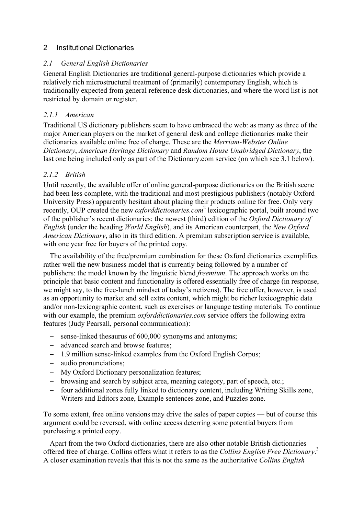## 2 Institutional Dictionaries

### 2.1 General English Dictionaries

General English Dictionaries are traditional general-purpose dictionaries which provide a relatively rich microstructural treatment of (primarily) contemporary English, which is traditionally expected from general reference desk dictionaries, and where the word list is not restricted by domain or register.

## 2.1.1 American

Traditional US dictionary publishers seem to have embraced the web: as many as three of the major American players on the market of general desk and college dictionaries make their dictionaries available online free of charge. These are the Merriam-Webster Online Dictionary, American Heritage Dictionary and Random House Unabridged Dictionary, the last one being included only as part of the Dictionary.com service (on which see 3.1 below).

## 2.1.2 British

Until recently, the available offer of online general-purpose dictionaries on the British scene had been less complete, with the traditional and most prestigious publishers (notably Oxford University Press) apparently hesitant about placing their products online for free. Only very recently, OUP created the new *oxforddictionaries.com*<sup>2</sup> lexicographic portal, built around two of the publisher's recent dictionaries: the newest (third) edition of the Oxford Dictionary of English (under the heading World English), and its American counterpart, the New Oxford American Dictionary, also in its third edition. A premium subscription service is available, with one year free for buyers of the printed copy.

The availability of the free/premium combination for these Oxford dictionaries exemplifies rather well the new business model that is currently being followed by a number of publishers: the model known by the linguistic blend freemium. The approach works on the principle that basic content and functionality is offered essentially free of charge (in response, we might say, to the free-lunch mindset of today's netizens). The free offer, however, is used as an opportunity to market and sell extra content, which might be richer lexicographic data and/or non-lexicographic content, such as exercises or language testing materials. To continue with our example, the premium *oxforddictionaries.com* service offers the following extra features (Judy Pearsall, personal communication):

- − sense-linked thesaurus of 600,000 synonyms and antonyms;
- − advanced search and browse features;
- − 1.9 million sense-linked examples from the Oxford English Corpus;
- − audio pronunciations;
- − My Oxford Dictionary personalization features;
- − browsing and search by subject area, meaning category, part of speech, etc.;
- − four additional zones fully linked to dictionary content, including Writing Skills zone, Writers and Editors zone, Example sentences zone, and Puzzles zone.

To some extent, free online versions may drive the sales of paper copies — but of course this argument could be reversed, with online access deterring some potential buyers from purchasing a printed copy.

Apart from the two Oxford dictionaries, there are also other notable British dictionaries offered free of charge. Collins offers what it refers to as the Collins English Free Dictionary.<sup>3</sup> A closer examination reveals that this is not the same as the authoritative Collins English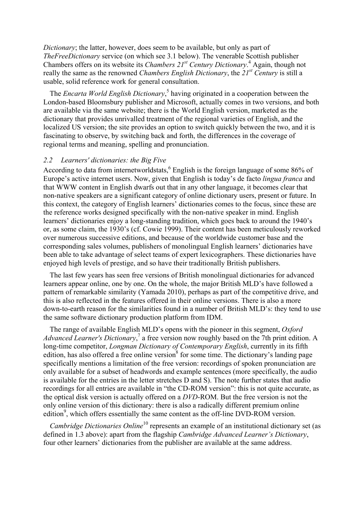Dictionary; the latter, however, does seem to be available, but only as part of TheFreeDictionary service (on which see 3.1 below). The venerable Scottish publisher Chambers offers on its website its *Chambers*  $21^{st}$  *Century Dictionary*.<sup>4</sup> Again, though not really the same as the renowned *Chambers English Dictionary*, the  $21^{st}$  Century is still a usable, solid reference work for general consultation.

The *Encarta World English Dictionary*,<sup>5</sup> having originated in a cooperation between the London-based Bloomsbury publisher and Microsoft, actually comes in two versions, and both are available via the same website; there is the World English version, marketed as the dictionary that provides unrivalled treatment of the regional varieties of English, and the localized US version; the site provides an option to switch quickly between the two, and it is fascinating to observe, by switching back and forth, the differences in the coverage of regional terms and meaning, spelling and pronunciation.

#### 2.2 Learners' dictionaries: the Big Five

According to data from internetworldstats, <sup>6</sup> English is the foreign language of some 86% of Europe's active internet users. Now, given that English is today's de facto lingua franca and that WWW content in English dwarfs out that in any other language, it becomes clear that non-native speakers are a significant category of online dictionary users, present or future. In this context, the category of English learners' dictionaries comes to the focus, since these are the reference works designed specifically with the non-native speaker in mind. English learners' dictionaries enjoy a long-standing tradition, which goes back to around the 1940's or, as some claim, the 1930's (cf. Cowie 1999). Their content has been meticulously reworked over numerous successive editions, and because of the worldwide customer base and the corresponding sales volumes, publishers of monolingual English learners' dictionaries have been able to take advantage of select teams of expert lexicographers. These dictionaries have enjoyed high levels of prestige, and so have their traditionally British publishers.

The last few years has seen free versions of British monolingual dictionaries for advanced learners appear online, one by one. On the whole, the major British MLD's have followed a pattern of remarkable similarity (Yamada 2010), perhaps as part of the competitive drive, and this is also reflected in the features offered in their online versions. There is also a more down-to-earth reason for the similarities found in a number of British MLD's: they tend to use the same software dictionary production platform from IDM.

The range of available English MLD's opens with the pioneer in this segment, Oxford Advanced Learner's Dictionary,<sup>7</sup> a free version now roughly based on the 7th print edition. A long-time competitor, *Longman Dictionary of Contemporary English*, currently in its fifth edition, has also offered a free online version<sup>8</sup> for some time. The dictionary's landing page specifically mentions a limitation of the free version: recordings of spoken pronunciation are only available for a subset of headwords and example sentences (more specifically, the audio is available for the entries in the letter stretches D and S). The note further states that audio recordings for all entries are available in "the CD-ROM version": this is not quite accurate, as the optical disk version is actually offered on a DVD-ROM. But the free version is not the only online version of this dictionary: there is also a radically different premium online edition<sup>9</sup>, which offers essentially the same content as the off-line DVD-ROM version.

Cambridge Dictionaries Online<sup>10</sup> represents an example of an institutional dictionary set (as defined in 1.3 above): apart from the flagship *Cambridge Advanced Learner's Dictionary*, four other learners' dictionaries from the publisher are available at the same address.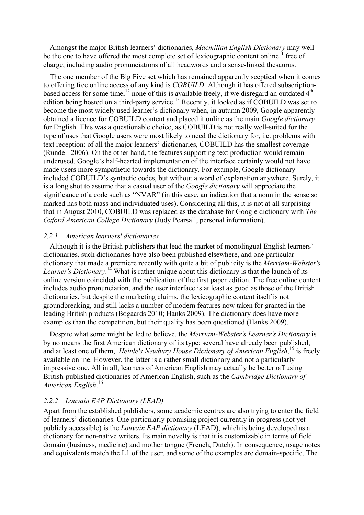Amongst the major British learners' dictionaries, Macmillan English Dictionary may well be the one to have offered the most complete set of lexicographic content online<sup>11</sup> free of charge, including audio pronunciations of all headwords and a sense-linked thesaurus.

The one member of the Big Five set which has remained apparently sceptical when it comes to offering free online access of any kind is COBUILD. Although it has offered subscriptionbased access for some time,<sup>12</sup> none of this is available freely, if we disregard an outdated 4<sup>th</sup> edition being hosted on a third-party service.<sup>13</sup> Recently, it looked as if COBUILD was set to become the most widely used learner's dictionary when, in autumn 2009, Google apparently obtained a licence for COBUILD content and placed it online as the main Google dictionary for English. This was a questionable choice, as COBUILD is not really well-suited for the type of uses that Google users were most likely to need the dictionary for, i.e. problems with text reception: of all the major learners' dictionaries, COBUILD has the smallest coverage (Rundell 2006). On the other hand, the features supporting text production would remain underused. Google's half-hearted implementation of the interface certainly would not have made users more sympathetic towards the dictionary. For example, Google dictionary included COBUILD's syntactic codes, but without a word of explanation anywhere. Surely, it is a long shot to assume that a casual user of the Google dictionary will appreciate the significance of a code such as "NVAR" (in this case, an indication that a noun in the sense so marked has both mass and individuated uses). Considering all this, it is not at all surprising that in August 2010, COBUILD was replaced as the database for Google dictionary with The Oxford American College Dictionary (Judy Pearsall, personal information).

#### 2.2.1 American learners' dictionaries

Although it is the British publishers that lead the market of monolingual English learners' dictionaries, such dictionaries have also been published elsewhere, and one particular dictionary that made a premiere recently with quite a bit of publicity is the Merriam-Webster's Learner's Dictionary.<sup>14</sup> What is rather unique about this dictionary is that the launch of its online version coincided with the publication of the first paper edition. The free online content includes audio pronunciation, and the user interface is at least as good as those of the British dictionaries, but despite the marketing claims, the lexicographic content itself is not groundbreaking, and still lacks a number of modern features now taken for granted in the leading British products (Bogaards 2010; Hanks 2009). The dictionary does have more examples than the competition, but their quality has been questioned (Hanks 2009).

Despite what some might be led to believe, the Merriam-Webster's Learner's Dictionary is by no means the first American dictionary of its type: several have already been published, and at least one of them, Heinle's Newbury House Dictionary of American English,<sup>15</sup> is freely available online. However, the latter is a rather small dictionary and not a particularly impressive one. All in all, learners of American English may actually be better off using British-published dictionaries of American English, such as the Cambridge Dictionary of American English.<sup>16</sup>

#### 2.2.2 Louvain EAP Dictionary (LEAD)

Apart from the established publishers, some academic centres are also trying to enter the field of learners' dictionaries. One particularly promising project currently in progress (not yet publicly accessible) is the Louvain EAP dictionary (LEAD), which is being developed as a dictionary for non-native writers. Its main novelty is that it is customizable in terms of field domain (business, medicine) and mother tongue (French, Dutch). In consequence, usage notes and equivalents match the L1 of the user, and some of the examples are domain-specific. The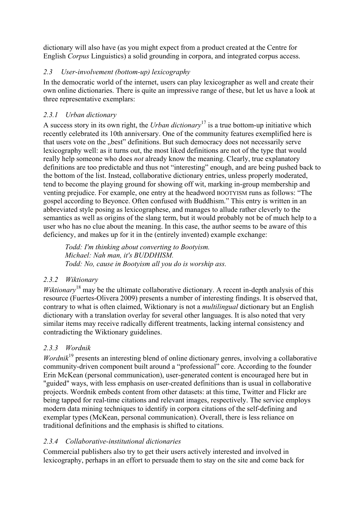dictionary will also have (as you might expect from a product created at the Centre for English Corpus Linguistics) a solid grounding in corpora, and integrated corpus access.

# 2.3 User-involvement (bottom-up) lexicography

In the democratic world of the internet, users can play lexicographer as well and create their own online dictionaries. There is quite an impressive range of these, but let us have a look at three representative exemplars:

# 2.3.1 Urban dictionary

A success story in its own right, the Urban dictionary<sup>17</sup> is a true bottom-up initiative which recently celebrated its 10th anniversary. One of the community features exemplified here is that users vote on the "best" definitions. But such democracy does not necessarily serve lexicography well: as it turns out, the most liked definitions are not of the type that would really help someone who does not already know the meaning. Clearly, true explanatory definitions are too predictable and thus not "interesting" enough, and are being pushed back to the bottom of the list. Instead, collaborative dictionary entries, unless properly moderated, tend to become the playing ground for showing off wit, marking in-group membership and venting prejudice. For example, one entry at the headword BOOTYISM runs as follows: "The gospel according to Beyonce. Often confused with Buddhism." This entry is written in an abbreviated style posing as lexicographese, and manages to allude rather cleverly to the semantics as well as origins of the slang term, but it would probably not be of much help to a user who has no clue about the meaning. In this case, the author seems to be aware of this deficiency, and makes up for it in the (entirely invented) example exchange:

Todd: I'm thinking about converting to Bootyism. Michael: Nah man, it's BUDDHISM. Todd: No, cause in Bootyism all you do is worship ass.

# 2.3.2 Wiktionary

*Wiktionary*<sup>18</sup> may be the ultimate collaborative dictionary. A recent in-depth analysis of this resource (Fuertes-Olivera 2009) presents a number of interesting findings. It is observed that, contrary to what is often claimed, Wiktionary is not a *multilingual* dictionary but an English dictionary with a translation overlay for several other languages. It is also noted that very similar items may receive radically different treatments, lacking internal consistency and contradicting the Wiktionary guidelines.

# 2.3.3 Wordnik

*Wordnik*<sup>19</sup> presents an interesting blend of online dictionary genres, involving a collaborative community-driven component built around a "professional" core. According to the founder Erin McKean (personal communication), user-generated content is encouraged here but in "guided" ways, with less emphasis on user-created definitions than is usual in collaborative projects. Wordnik embeds content from other datasets: at this time, Twitter and Flickr are being tapped for real-time citations and relevant images, respectively. The service employs modern data mining techniques to identify in corpora citations of the self-defining and exemplar types (McKean, personal communication). Overall, there is less reliance on traditional definitions and the emphasis is shifted to citations.

## 2.3.4 Collaborative-institutional dictionaries

Commercial publishers also try to get their users actively interested and involved in lexicography, perhaps in an effort to persuade them to stay on the site and come back for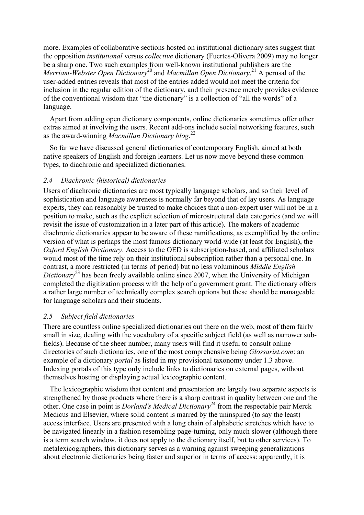more. Examples of collaborative sections hosted on institutional dictionary sites suggest that the opposition *institutional* versus *collective* dictionary (Fuertes-Olivera 2009) may no longer be a sharp one. Two such examples from well-known institutional publishers are the Merriam-Webster Open Dictionary<sup>20</sup> and Macmillan Open Dictionary.<sup>21</sup> A perusal of the user-added entries reveals that most of the entries added would not meet the criteria for inclusion in the regular edition of the dictionary, and their presence merely provides evidence of the conventional wisdom that "the dictionary" is a collection of "all the words" of a language.

Apart from adding open dictionary components, online dictionaries sometimes offer other extras aimed at involving the users. Recent add-ons include social networking features, such as the award-winning Macmillan Dictionary blog.<sup>22</sup>

So far we have discussed general dictionaries of contemporary English, aimed at both native speakers of English and foreign learners. Let us now move beyond these common types, to diachronic and specialized dictionaries.

### 2.4 Diachronic (historical) dictionaries

Users of diachronic dictionaries are most typically language scholars, and so their level of sophistication and language awareness is normally far beyond that of lay users. As language experts, they can reasonably be trusted to make choices that a non-expert user will not be in a position to make, such as the explicit selection of microstructural data categories (and we will revisit the issue of customization in a later part of this article). The makers of academic diachronic dictionaries appear to be aware of these ramifications, as exemplified by the online version of what is perhaps the most famous dictionary world-wide (at least for English), the Oxford English Dictionary. Access to the OED is subscription-based, and affiliated scholars would most of the time rely on their institutional subscription rather than a personal one. In contrast, a more restricted (in terms of period) but no less voluminous Middle English Dictionary<sup>23</sup> has been freely available online since 2007, when the University of Michigan completed the digitization process with the help of a government grant. The dictionary offers a rather large number of technically complex search options but these should be manageable for language scholars and their students.

#### 2.5 Subject field dictionaries

There are countless online specialized dictionaries out there on the web, most of them fairly small in size, dealing with the vocabulary of a specific subject field (as well as narrower subfields). Because of the sheer number, many users will find it useful to consult online directories of such dictionaries, one of the most comprehensive being *Glossarist.com*: an example of a dictionary portal as listed in my provisional taxonomy under 1.3 above. Indexing portals of this type only include links to dictionaries on external pages, without themselves hosting or displaying actual lexicographic content.

The lexicographic wisdom that content and presentation are largely two separate aspects is strengthened by those products where there is a sharp contrast in quality between one and the other. One case in point is *Dorland's Medical Dictionary*<sup>24</sup> from the respectable pair Merck Medicus and Elsevier, where solid content is marred by the uninspired (to say the least) access interface. Users are presented with a long chain of alphabetic stretches which have to be navigated linearly in a fashion resembling page-turning, only much slower (although there is a term search window, it does not apply to the dictionary itself, but to other services). To metalexicographers, this dictionary serves as a warning against sweeping generalizations about electronic dictionaries being faster and superior in terms of access: apparently, it is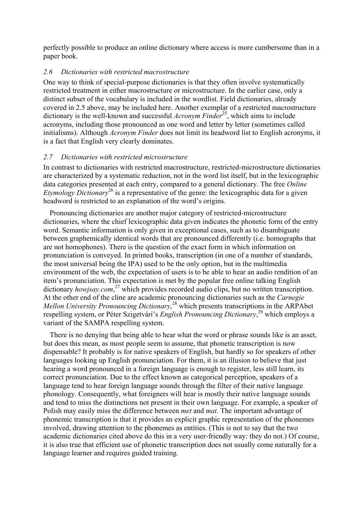perfectly possible to produce an online dictionary where access is more cumbersome than in a paper book.

### 2.6 Dictionaries with restricted macrostructure

One way to think of special-purpose dictionaries is that they often involve systematically restricted treatment in either macrostructure or microstructure. In the earlier case, only a distinct subset of the vocabulary is included in the wordlist. Field dictionaries, already covered in 2.5 above, may be included here. Another exemplar of a restricted macrostructure dictionary is the well-known and successful Acronym Finder<sup>25</sup>, which aims to include acronyms, including those pronounced as one word and letter by letter (sometimes called initialisms). Although *Acronym Finder* does not limit its headword list to English acronyms, it is a fact that English very clearly dominates.

## 2.7 Dictionaries with restricted microstructure

In contrast to dictionaries with restricted macrostructure, restricted-microstructure dictionaries are characterized by a systematic reduction, not in the word list itself, but in the lexicographic data categories presented at each entry, compared to a general dictionary. The free Online Etymology Dictionary<sup>26</sup> is a representative of the genre: the lexicographic data for a given headword is restricted to an explanation of the word's origins.

Pronouncing dictionaries are another major category of restricted-microstructure dictionaries, where the chief lexicographic data given indicates the phonetic form of the entry word. Semantic information is only given in exceptional cases, such as to disambiguate between graphemically identical words that are pronounced differently (i.e. homographs that are not homophones). There is the question of the exact form in which information on pronunciation is conveyed. In printed books, transcription (in one of a number of standards, the most universal being the IPA) used to be the only option, but in the multimedia environment of the web, the expectation of users is to be able to hear an audio rendition of an item's pronunciation. This expectation is met by the popular free online talking English dictionary howjsay.com,<sup>27</sup> which provides recorded audio clips, but no written transcription. At the other end of the cline are academic pronouncing dictionaries such as the Carnegie Mellon University Pronouncing Dictionary,<sup>28</sup> which presents transcriptions in the ARPAbet respelling system, or Péter Szigetvári's English Pronouncing Dictionary,<sup>29</sup> which employs a variant of the SAMPA respelling system.

There is no denying that being able to hear what the word or phrase sounds like is an asset, but does this mean, as most people seem to assume, that phonetic transcription is now dispensable? It probably is for native speakers of English, but hardly so for speakers of other languages looking up English pronunciation. For them, it is an illusion to believe that just hearing a word pronounced in a foreign language is enough to register, less still learn, its correct pronunciation. Due to the effect known as categorical perception, speakers of a language tend to hear foreign language sounds through the filter of their native language phonology. Consequently, what foreigners will hear is mostly their native language sounds and tend to miss the distinctions not present in their own language. For example, a speaker of Polish may easily miss the difference between met and mat. The important advantage of phonemic transcription is that it provides an explicit graphic representation of the phonemes involved, drawing attention to the phonemes as entities. (This is not to say that the two academic dictionaries cited above do this in a very user-friendly way: they do not.) Of course, it is also true that efficient use of phonetic transcription does not usually come naturally for a language learner and requires guided training.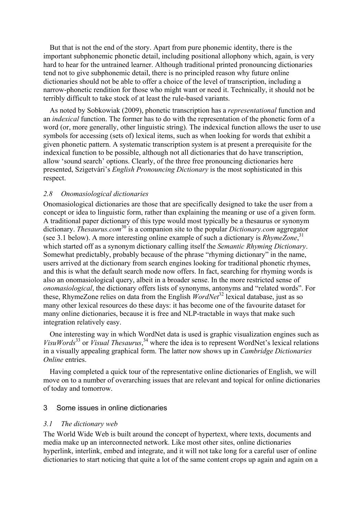But that is not the end of the story. Apart from pure phonemic identity, there is the important subphonemic phonetic detail, including positional allophony which, again, is very hard to hear for the untrained learner. Although traditional printed pronouncing dictionaries tend not to give subphonemic detail, there is no principled reason why future online dictionaries should not be able to offer a choice of the level of transcription, including a narrow-phonetic rendition for those who might want or need it. Technically, it should not be terribly difficult to take stock of at least the rule-based variants.

As noted by Sobkowiak (2009), phonetic transcription has a representational function and an indexical function. The former has to do with the representation of the phonetic form of a word (or, more generally, other linguistic string). The indexical function allows the user to use symbols for accessing (sets of) lexical items, such as when looking for words that exhibit a given phonetic pattern. A systematic transcription system is at present a prerequisite for the indexical function to be possible, although not all dictionaries that do have transcription, allow 'sound search' options. Clearly, of the three free pronouncing dictionaries here presented, Szigetvári's English Pronouncing Dictionary is the most sophisticated in this respect.

### 2.8 Onomasiological dictionaries

Onomasiological dictionaries are those that are specifically designed to take the user from a concept or idea to linguistic form, rather than explaining the meaning or use of a given form. A traditional paper dictionary of this type would most typically be a thesaurus or synonym dictionary. Thesaurus.com<sup>30</sup> is a companion site to the popular *Dictionary.com* aggregator (see 3.1 below). A more interesting online example of such a dictionary is RhymeZone,<sup>31</sup> which started off as a synonym dictionary calling itself the *Semantic Rhyming Dictionary*. Somewhat predictably, probably because of the phrase "rhyming dictionary" in the name, users arrived at the dictionary from search engines looking for traditional phonetic rhymes, and this is what the default search mode now offers. In fact, searching for rhyming words is also an onomasiological query, albeit in a broader sense. In the more restricted sense of onomasiological, the dictionary offers lists of synonyms, antonyms and "related words". For these, RhymeZone relies on data from the English  $WordNet^{32}$  lexical database, just as so many other lexical resources do these days: it has become one of the favourite dataset for many online dictionaries, because it is free and NLP-tractable in ways that make such integration relatively easy.

One interesting way in which WordNet data is used is graphic visualization engines such as VisuWords<sup>33</sup> or Visual Thesaurus,<sup>34</sup> where the idea is to represent WordNet's lexical relations in a visually appealing graphical form. The latter now shows up in Cambridge Dictionaries Online entries.

Having completed a quick tour of the representative online dictionaries of English, we will move on to a number of overarching issues that are relevant and topical for online dictionaries of today and tomorrow.

#### 3 Some issues in online dictionaries

#### 3.1 The dictionary web

The World Wide Web is built around the concept of hypertext, where texts, documents and media make up an interconnected network. Like most other sites, online dictionaries hyperlink, interlink, embed and integrate, and it will not take long for a careful user of online dictionaries to start noticing that quite a lot of the same content crops up again and again on a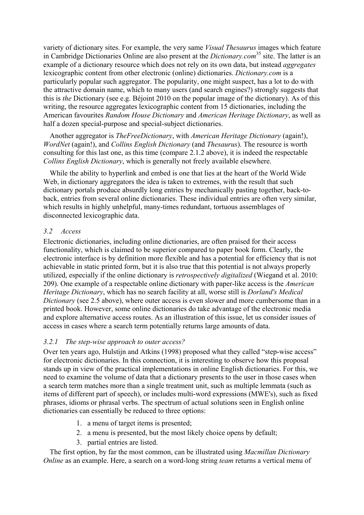variety of dictionary sites. For example, the very same Visual Thesaurus images which feature in Cambridge Dictionaries Online are also present at the *Dictionary.com*<sup>35</sup> site. The latter is an example of a dictionary resource which does not rely on its own data, but instead *aggregates* lexicographic content from other electronic (online) dictionaries. Dictionary.com is a particularly popular such aggregator. The popularity, one might suspect, has a lot to do with the attractive domain name, which to many users (and search engines?) strongly suggests that this is the Dictionary (see e.g. Béjoint 2010 on the popular image of the dictionary). As of this writing, the resource aggregates lexicographic content from 15 dictionaries, including the American favourites Random House Dictionary and American Heritage Dictionary, as well as half a dozen special-purpose and special-subject dictionaries.

Another aggregator is TheFreeDictionary, with American Heritage Dictionary (again!), WordNet (again!), and Collins English Dictionary (and Thesaurus). The resource is worth consulting for this last one, as this time (compare 2.1.2 above), it is indeed the respectable Collins English Dictionary, which is generally not freely available elsewhere.

While the ability to hyperlink and embed is one that lies at the heart of the World Wide Web, in dictionary aggregators the idea is taken to extremes, with the result that such dictionary portals produce absurdly long entries by mechanically pasting together, back-toback, entries from several online dictionaries. These individual entries are often very similar, which results in highly unhelpful, many-times redundant, tortuous assemblages of disconnected lexicographic data.

### 3.2 Access

Electronic dictionaries, including online dictionaries, are often praised for their access functionality, which is claimed to be superior compared to paper book form. Clearly, the electronic interface is by definition more flexible and has a potential for efficiency that is not achievable in static printed form, but it is also true that this potential is not always properly utilized, especially if the online dictionary is retrospectively digitalized (Wiegand et al. 2010: 209). One example of a respectable online dictionary with paper-like access is the American Heritage Dictionary, which has no search facility at all, worse still is Dorland's Medical Dictionary (see 2.5 above), where outer access is even slower and more cumbersome than in a printed book. However, some online dictionaries do take advantage of the electronic media and explore alternative access routes. As an illustration of this issue, let us consider issues of access in cases where a search term potentially returns large amounts of data.

### 3.2.1 The step-wise approach to outer access?

Over ten years ago, Hulstijn and Atkins (1998) proposed what they called "step-wise access" for electronic dictionaries. In this connection, it is interesting to observe how this proposal stands up in view of the practical implementations in online English dictionaries. For this, we need to examine the volume of data that a dictionary presents to the user in those cases when a search term matches more than a single treatment unit, such as multiple lemmata (such as items of different part of speech), or includes multi-word expressions (MWE's), such as fixed phrases, idioms or phrasal verbs. The spectrum of actual solutions seen in English online dictionaries can essentially be reduced to three options:

- 1. a menu of target items is presented;
- 2. a menu is presented, but the most likely choice opens by default;
- 3. partial entries are listed.

The first option, by far the most common, can be illustrated using *Macmillan Dictionary* Online as an example. Here, a search on a word-long string team returns a vertical menu of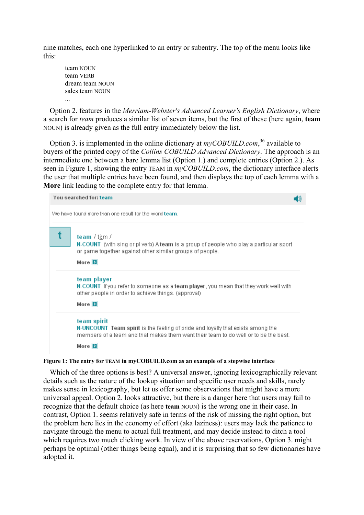nine matches, each one hyperlinked to an entry or subentry. The top of the menu looks like this:

team NOUN team VERB dream team NOUN sales team NOUN ...

Option 2. features in the Merriam-Webster's Advanced Learner's English Dictionary, where a search for *team* produces a similar list of seven items, but the first of these (here again, **team**) NOUN) is already given as the full entry immediately below the list.

Option 3. is implemented in the online dictionary at  $myCOBULLA$ .*com*,<sup>36</sup> available to buyers of the printed copy of the Collins COBUILD Advanced Dictionary. The approach is an intermediate one between a bare lemma list (Option 1.) and complete entries (Option 2.). As seen in Figure 1, showing the entry TEAM in  $myCOBULD.com$ , the dictionary interface alerts the user that multiple entries have been found, and then displays the top of each lemma with a More link leading to the complete entry for that lemma.

| You searched for: team                                |                                                                                                                                                                                                                 |  |  |  |  |
|-------------------------------------------------------|-----------------------------------------------------------------------------------------------------------------------------------------------------------------------------------------------------------------|--|--|--|--|
| We have found more than one result for the word team. |                                                                                                                                                                                                                 |  |  |  |  |
|                                                       | team / ti:m /<br>N-COUNT (with sing or pl verb) A team is a group of people who play a particular sport<br>or game together against other similar groups of people.<br>More $\overline{\mathbf{E}}$             |  |  |  |  |
|                                                       | team player<br>N-COUNT If you refer to someone as a team player, you mean that they work well with<br>other people in order to achieve things. (approval)<br>More $\boxed{\phantom{1}}$                         |  |  |  |  |
|                                                       | team spirit<br>N-UNCOUNT Team spirit is the feeling of pride and loyalty that exists among the<br>members of a team and that makes them want their team to do well or to be the best.<br>More $\mathbf{\Sigma}$ |  |  |  |  |

#### Figure 1: The entry for TEAM in myCOBUILD.com as an example of a stepwise interface

Which of the three options is best? A universal answer, ignoring lexicographically relevant details such as the nature of the lookup situation and specific user needs and skills, rarely makes sense in lexicography, but let us offer some observations that might have a more universal appeal. Option 2. looks attractive, but there is a danger here that users may fail to recognize that the default choice (as here team NOUN) is the wrong one in their case. In contrast, Option 1. seems relatively safe in terms of the risk of missing the right option, but the problem here lies in the economy of effort (aka laziness): users may lack the patience to navigate through the menu to actual full treatment, and may decide instead to ditch a tool which requires two much clicking work. In view of the above reservations, Option 3. might perhaps be optimal (other things being equal), and it is surprising that so few dictionaries have adopted it.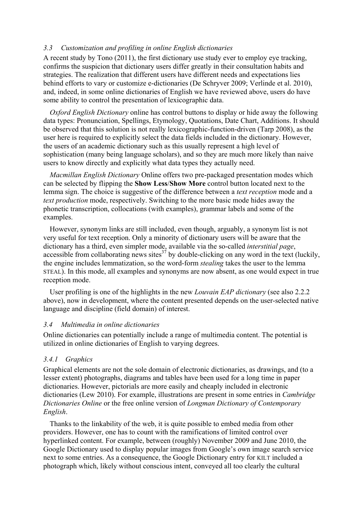#### 3.3 Customization and profiling in online English dictionaries

A recent study by Tono (2011), the first dictionary use study ever to employ eye tracking, confirms the suspicion that dictionary users differ greatly in their consultation habits and strategies. The realization that different users have different needs and expectations lies behind efforts to vary or customize e-dictionaries (De Schryver 2009; Verlinde et al. 2010), and, indeed, in some online dictionaries of English we have reviewed above, users do have some ability to control the presentation of lexicographic data.

Oxford English Dictionary online has control buttons to display or hide away the following data types: Pronunciation, Spellings, Etymology, Quotations, Date Chart, Additions. It should be observed that this solution is not really lexicographic-function-driven (Tarp 2008), as the user here is required to explicitly select the data fields included in the dictionary. However, the users of an academic dictionary such as this usually represent a high level of sophistication (many being language scholars), and so they are much more likely than naive users to know directly and explicitly what data types they actually need.

Macmillan English Dictionary Online offers two pre-packaged presentation modes which can be selected by flipping the Show Less/Show More control button located next to the lemma sign. The choice is suggestive of the difference between a *text reception* mode and a text production mode, respectively. Switching to the more basic mode hides away the phonetic transcription, collocations (with examples), grammar labels and some of the examples.

However, synonym links are still included, even though, arguably, a synonym list is not very useful for text reception. Only a minority of dictionary users will be aware that the dictionary has a third, even simpler mode, available via the so-called *interstitial page*,  $\alpha$  accessible from collaborating news sites<sup>37</sup> by double-clicking on any word in the text (luckily, the engine includes lemmatization, so the word-form stealing takes the user to the lemma STEAL). In this mode, all examples and synonyms are now absent, as one would expect in true reception mode.

User profiling is one of the highlights in the new *Louvain EAP dictionary* (see also 2.2.2) above), now in development, where the content presented depends on the user-selected native language and discipline (field domain) of interest.

#### 3.4 Multimedia in online dictionaries

Online dictionaries can potentially include a range of multimedia content. The potential is utilized in online dictionaries of English to varying degrees.

### 3.4.1 Graphics

Graphical elements are not the sole domain of electronic dictionaries, as drawings, and (to a lesser extent) photographs, diagrams and tables have been used for a long time in paper dictionaries. However, pictorials are more easily and cheaply included in electronic dictionaries (Lew 2010). For example, illustrations are present in some entries in Cambridge Dictionaries Online or the free online version of Longman Dictionary of Contemporary English.

Thanks to the linkability of the web, it is quite possible to embed media from other providers. However, one has to count with the ramifications of limited control over hyperlinked content. For example, between (roughly) November 2009 and June 2010, the Google Dictionary used to display popular images from Google's own image search service next to some entries. As a consequence, the Google Dictionary entry for KILT included a photograph which, likely without conscious intent, conveyed all too clearly the cultural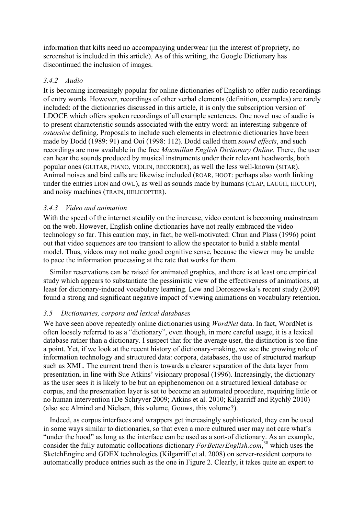information that kilts need no accompanying underwear (in the interest of propriety, no screenshot is included in this article). As of this writing, the Google Dictionary has discontinued the inclusion of images.

### 3.4.2 Audio

It is becoming increasingly popular for online dictionaries of English to offer audio recordings of entry words. However, recordings of other verbal elements (definition, examples) are rarely included: of the dictionaries discussed in this article, it is only the subscription version of LDOCE which offers spoken recordings of all example sentences. One novel use of audio is to present characteristic sounds associated with the entry word: an interesting subgenre of ostensive defining. Proposals to include such elements in electronic dictionaries have been made by Dodd (1989: 91) and Ooi (1998: 112). Dodd called them sound effects, and such recordings are now available in the free Macmillan English Dictionary Online. There, the user can hear the sounds produced by musical instruments under their relevant headwords, both popular ones (GUITAR, PIANO, VIOLIN, RECORDER), as well the less well-known (SITAR). Animal noises and bird calls are likewise included (ROAR, HOOT: perhaps also worth linking under the entries LION and OWL), as well as sounds made by humans (CLAP, LAUGH, HICCUP), and noisy machines (TRAIN, HELICOPTER).

### 3.4.3 Video and animation

With the speed of the internet steadily on the increase, video content is becoming mainstream on the web. However, English online dictionaries have not really embraced the video technology so far. This caution may, in fact, be well-motivated: Chun and Plass (1996) point out that video sequences are too transient to allow the spectator to build a stable mental model. Thus, videos may not make good cognitive sense, because the viewer may be unable to pace the information processing at the rate that works for them.

Similar reservations can be raised for animated graphics, and there is at least one empirical study which appears to substantiate the pessimistic view of the effectiveness of animations, at least for dictionary-induced vocabulary learning. Lew and Doroszewska's recent study (2009) found a strong and significant negative impact of viewing animations on vocabulary retention.

### 3.5 Dictionaries, corpora and lexical databases

We have seen above repeatedly online dictionaries using *WordNet* data. In fact, WordNet is often loosely referred to as a "dictionary", even though, in more careful usage, it is a lexical database rather than a dictionary. I suspect that for the average user, the distinction is too fine a point. Yet, if we look at the recent history of dictionary-making, we see the growing role of information technology and structured data: corpora, databases, the use of structured markup such as XML. The current trend then is towards a clearer separation of the data layer from presentation, in line with Sue Atkins' visionary proposal (1996). Increasingly, the dictionary as the user sees it is likely to be but an epiphenomenon on a structured lexical database or corpus, and the presentation layer is set to become an automated procedure, requiring little or no human intervention (De Schryver 2009; Atkins et al. 2010; Kilgarriff and Rychlý 2010) (also see Almind and Nielsen, this volume, Gouws, this volume?).

Indeed, as corpus interfaces and wrappers get increasingly sophisticated, they can be used in some ways similar to dictionaries, so that even a more cultured user may not care what's "under the hood" as long as the interface can be used as a sort-of dictionary. As an example, consider the fully automatic collocations dictionary ForBetterEnglish.com,<sup>38</sup> which uses the SketchEngine and GDEX technologies (Kilgarriff et al. 2008) on server-resident corpora to automatically produce entries such as the one in Figure 2. Clearly, it takes quite an expert to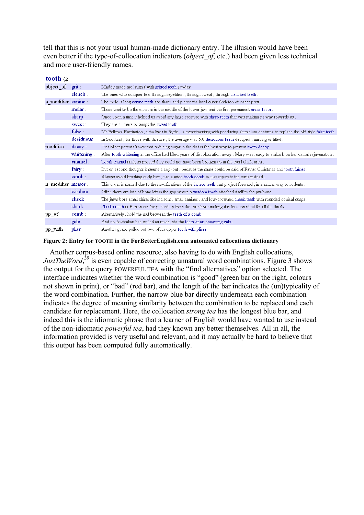tell that this is not your usual human-made dictionary entry. The illusion would have been even better if the type-of-collocation indicators (*object of*, etc.) had been given less technical and more user-friendly names.

| tooth $(n)$         |            |                                                                                                                                    |  |  |
|---------------------|------------|------------------------------------------------------------------------------------------------------------------------------------|--|--|
| object of           | $grit$ :   | Maddy made me laugh (with gritted teeth) today.                                                                                    |  |  |
|                     | elench :   | The ones who conquer fear through repetition, through sweat, through clenched teeth.                                               |  |  |
| a modifier canine : |            | The mole 's long canine teeth are sharp and pierce the hard outer skeleton of insect prey.                                         |  |  |
|                     | molar :    | These tend to be the incisors in the middle of the lower jaw and the first permanent molar teeth.                                  |  |  |
|                     | sharp      | Once upon a time it helped us avoid any large creature with sharp teeth that was making its way towards us.                        |  |  |
|                     | sweet:     | They are all there to tempt the sweet tooth.                                                                                       |  |  |
|                     | false      | Mr Fellows Harrington, who lives in Ryde, is experimenting with producing aluminium dentures to replace the old style false teeth. |  |  |
|                     | deciduous: | In Scotland, for those with disease, the average was 5.0 deciduous teeth decayed, missing or filled.                               |  |  |
| modifies            | decay      | Diet Most parents know that reducing sugar in the diet is the best way to prevent tooth decay.                                     |  |  |
|                     | whitening: | After tooth whitening in the office had lifted years of discolouration away, Mary was ready to embark on her dental rejuvenation.  |  |  |
|                     | enamel :   | Tooth enamel analysis proved they could not have been brought up in the local chalk area.                                          |  |  |
|                     | fairy:     | But on second thoughts it seems a cop-out, because the same could be said of Father Christmas and tooth fairies.                   |  |  |
|                     | comb       | Always avoid brushing curly hair, use a wide tooth comb to just separate the curls instead.                                        |  |  |
| n modifier incisor: |            | This order is named due to the modifications of the incisor teeth that project forward, in a similar way to rodents.               |  |  |
|                     | wisdom :   | Often there are bits of bone left in the gap where a wisdom tooth attached itself to the jawbone.                                  |  |  |
|                     | cheek      | The jaws bore small chisel like incisors, small canines, and low-crowned cheek teeth with rounded conical cusps.                   |  |  |
|                     | shark :    | Sharks teeth at Barton can be picked up from the foreshore making this location ideal for all the family.                          |  |  |
| pp of               | comb :     | Alternatively, hold the nail between the teeth of a comb.                                                                          |  |  |
|                     | gale :     | And no Australian has smiled as much into the teeth of an oncoming gale.                                                           |  |  |
| pp with             | plier:     | Another guard pulled out two of his upper teeth with pliers.                                                                       |  |  |

#### Figure 2: Entry for TOOTH in the ForBetterEnglish.com automated collocations dictionary

Another corpus-based online resource, also having to do with English collocations, JustTheWord,<sup>39</sup> is even capable of correcting unnatural word combinations. Figure 3 shows the output for the query POWERFUL TEA with the "find alternatives" option selected. The interface indicates whether the word combination is "good" (green bar on the right, colours not shown in print), or "bad" (red bar), and the length of the bar indicates the (un)typicality of the word combination. Further, the narrow blue bar directly underneath each combination indicates the degree of meaning similarity between the combination to be replaced and each candidate for replacement. Here, the collocation strong tea has the longest blue bar, and indeed this is the idiomatic phrase that a learner of English would have wanted to use instead of the non-idiomatic powerful tea, had they known any better themselves. All in all, the information provided is very useful and relevant, and it may actually be hard to believe that this output has been computed fully automatically.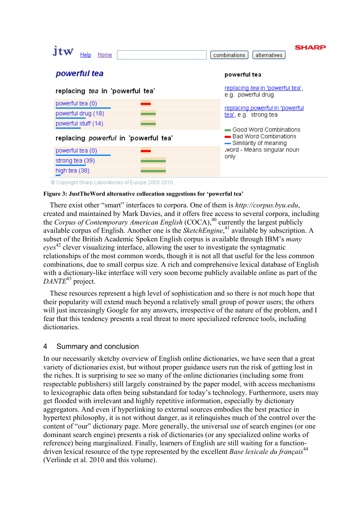| Home<br>Help.                                                              | <b>SHARP</b><br>combinations<br>alternatives                                |
|----------------------------------------------------------------------------|-----------------------------------------------------------------------------|
| powerful tea                                                               | powerful tea                                                                |
| replacing tea in 'powerful tea'                                            | replacing tea in 'powerful tea'.<br>e.g. powerful drug                      |
| powerful tea (0)<br>powerful drug (18)                                     | replacing <i>powerful</i> in 'powerful<br>tea', e.g. strong tea             |
| powerful stuff (14)<br>replacing powerful in 'powerful tea'                | Good Word Combinations<br>■ Bad Word Combinations<br>-Similarity of meaning |
| .word - Means singular noun<br>powerful tea (0)<br>only<br>strong tea (39) |                                                                             |
| high tea (38)                                                              |                                                                             |

© Copyright Sharp Laboratories of Europe 2005-2010.

#### Figure 3: JustTheWord alternative collocation suggestions for 'powerful tea'

There exist other "smart" interfaces to corpora. One of them is http://corpus.byu.edu, created and maintained by Mark Davies, and it offers free access to several corpora, including the Corpus of Contemporary American English  $(COCA)^{40}$  currently the largest publicly available corpus of English. Another one is the *SketchEngine*,<sup>41</sup> available by subscription. A subset of the British Academic Spoken English corpus is available through IBM's many eyes<sup>42</sup> clever visualizing interface, allowing the user to investigate the syntagmatic relationships of the most common words, though it is not all that useful for the less common combinations, due to small corpus size. A rich and comprehensive lexical database of English with a dictionary-like interface will very soon become publicly available online as part of the  $DANTE^{43}$  project.

These resources represent a high level of sophistication and so there is not much hope that their popularity will extend much beyond a relatively small group of power users; the others will just increasingly Google for any answers, irrespective of the nature of the problem, and I fear that this tendency presents a real threat to more specialized reference tools, including dictionaries.

#### 4 Summary and conclusion

In our necessarily sketchy overview of English online dictionaries, we have seen that a great variety of dictionaries exist, but without proper guidance users run the risk of getting lost in the riches. It is surprising to see so many of the online dictionaries (including some from respectable publishers) still largely constrained by the paper model, with access mechanisms to lexicographic data often being substandard for today's technology. Furthermore, users may get flooded with irrelevant and highly repetitive information, especially by dictionary aggregators. And even if hyperlinking to external sources embodies the best practice in hypertext philosophy, it is not without danger, as it relinquishes much of the control over the content of "our" dictionary page. More generally, the universal use of search engines (or one dominant search engine) presents a risk of dictionaries (or any specialized online works of reference) being marginalized. Finally, learners of English are still waiting for a functiondriven lexical resource of the type represented by the excellent *Base lexicale du français*<sup>44</sup> (Verlinde et al. 2010 and this volume).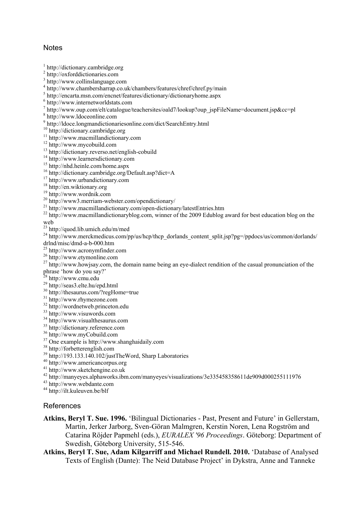## **Notes**

http://dictionary.cambridge.org

- http://oxforddictionaries.com
- http://www.collinslanguage.com
- http://www.chambersharrap.co.uk/chambers/features/chref/chref.py/main
- http://encarta.msn.com/encnet/features/dictionary/dictionaryhome.aspx
- http://www.internetworldstats.com
- http://www.oup.com/elt/catalogue/teachersites/oald7/lookup?oup\_jspFileName=document.jsp&cc=pl
- http://www.ldoceonline.com
- http://ldoce.longmandictionariesonline.com/dict/SearchEntry.html
- http://dictionary.cambridge.org
- <sup>11</sup> http://www.macmillandictionary.com
- http://www.mycobuild.com
- http://dictionary.reverso.net/english-cobuild
- <sup>14</sup> http://www.learnersdictionary.com
- http://nhd.heinle.com/home.aspx
- http://dictionary.cambridge.org/Default.asp?dict=A
- http://www.urbandictionary.com
- <sup>18</sup> http://en.wiktionary.org
- http://www.wordnik.com
- http://www3.merriam-webster.com/opendictionary/
- <sup>21</sup> http://www.macmillandictionary.com/open-dictionary/latestEntries.htm
- <sup>22</sup> http://www.macmillandictionaryblog.com, winner of the 2009 Edublog award for best education blog on the web
- http://quod.lib.umich.edu/m/med
- <sup>24</sup> http://www.merckmedicus.com/pp/us/hcp/thcp\_dorlands\_content\_split.jsp?pg=/ppdocs/us/common/dorlands/ drlnd/misc/dmd-a-b-000.htm
- http://www.acronymfinder.com
- http://www.etymonline.com
- $^{27}$  http://www.howjsay.com, the domain name being an eye-dialect rendition of the casual pronunciation of the phrase 'how do you say?'
- <sup>28</sup> http://www.cmu.edu
- http://seas3.elte.hu/epd.html
- http://thesaurus.com/?regHome=true
- http://www.rhymezone.com
- http://wordnetweb.princeton.edu
- http://www.visuwords.com
- http://www.visualthesaurus.com
- http://dictionary.reference.com
- http://www.myCobuild.com
- One example is http://www.shanghaidaily.com
- http://forbetterenglish.com
- http://193.133.140.102/justTheWord, Sharp Laboratories
- http://www.americancorpus.org
- http://www.sketchengine.co.uk
- http://manyeyes.alphaworks.ibm.com/manyeyes/visualizations/3e335458358611de909d000255111976
- http://www.webdante.com
- http://ilt.kuleuven.be/blf

### References

- Atkins, Beryl T. Sue. 1996. 'Bilingual Dictionaries Past, Present and Future' in Gellerstam, Martin, Jerker Jarborg, Sven-Göran Malmgren, Kerstin Noren, Lena Rogström and Catarina Röjder Papmehl (eds.), EURALEX '96 Proceedings. Göteborg: Department of Swedish, Göteborg University, 515-546.
- Atkins, Beryl T. Sue, Adam Kilgarriff and Michael Rundell. 2010. 'Database of Analysed Texts of English (Dante): The Neid Database Project' in Dykstra, Anne and Tanneke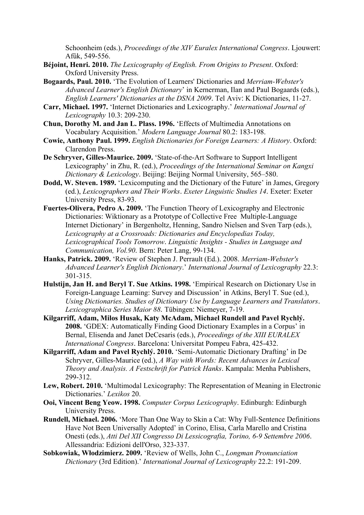Schoonheim (eds.), *Proceedings of the XIV Euralex International Congress*. Ljouwert: Afûk, 549-556.

- Béjoint, Henri. 2010. The Lexicography of English. From Origins to Present. Oxford: Oxford University Press.
- Bogaards, Paul. 2010. 'The Evolution of Learners' Dictionaries and Merriam-Webster's Advanced Learner's English Dictionary' in Kernerman, Ilan and Paul Bogaards (eds.), English Learners' Dictionaries at the DSNA 2009. Tel Aviv: K Dictionaries, 11-27.
- Carr, Michael. 1997. 'Internet Dictionaries and Lexicography.' International Journal of Lexicography 10.3: 209-230.
- Chun, Dorothy M. and Jan L. Plass. 1996. 'Effects of Multimedia Annotations on Vocabulary Acquisition.' Modern Language Journal 80.2: 183-198.
- Cowie, Anthony Paul. 1999. English Dictionaries for Foreign Learners: A History. Oxford: Clarendon Press.
- De Schryver, Gilles-Maurice. 2009. 'State-of-the-Art Software to Support Intelligent Lexicography' in Zhu, R. (ed.), Proceedings of the International Seminar on Kangxi Dictionary & Lexicology. Beijing: Beijing Normal University, 565–580.
- Dodd, W. Steven. 1989. 'Lexicomputing and the Dictionary of the Future' in James, Gregory (ed.), Lexicographers and Their Works. Exeter Linguistic Studies 14. Exeter: Exeter University Press, 83-93.
- Fuertes-Olivera, Pedro A. 2009. 'The Function Theory of Lexicography and Electronic Dictionaries: Wiktionary as a Prototype of Collective Free Multiple-Language Internet Dictionary' in Bergenholtz, Henning, Sandro Nielsen and Sven Tarp (eds.), Lexicography at a Crossroads: Dictionaries and Encyclopedias Today, Lexicographical Tools Tomorrow. Linguistic Insights - Studies in Language and Communication, Vol.90. Bern: Peter Lang, 99-134.
- Hanks, Patrick. 2009. 'Review of Stephen J. Perrault (Ed.). 2008. Merriam-Webster's Advanced Learner's English Dictionary.' International Journal of Lexicography 22.3: 301-315.
- Hulstijn, Jan H. and Beryl T. Sue Atkins. 1998. 'Empirical Research on Dictionary Use in Foreign-Language Learning: Survey and Discussion' in Atkins, Beryl T. Sue (ed.), Using Dictionaries. Studies of Dictionary Use by Language Learners and Translators. Lexicographica Series Maior 88. Tübingen: Niemeyer, 7-19.
- Kilgarriff, Adam, Milos Husak, Katy McAdam, Michael Rundell and Pavel Rychlý. 2008. 'GDEX: Automatically Finding Good Dictionary Examples in a Corpus' in Bernal, Elisenda and Janet DeCesaris (eds.), Proceedings of the XIII EURALEX International Congress. Barcelona: Universitat Pompeu Fabra, 425-432.
- Kilgarriff, Adam and Pavel Rychlý. 2010. 'Semi-Automatic Dictionary Drafting' in De Schryver, Gilles-Maurice (ed.), A Way with Words: Recent Advances in Lexical Theory and Analysis. A Festschrift for Patrick Hanks. Kampala: Menha Publishers, 299-312.
- Lew, Robert. 2010. 'Multimodal Lexicography: The Representation of Meaning in Electronic Dictionaries.' Lexikos 20.
- Ooi, Vincent Beng Yeow. 1998. Computer Corpus Lexicography. Edinburgh: Edinburgh University Press.
- Rundell, Michael. 2006. 'More Than One Way to Skin a Cat: Why Full-Sentence Definitions Have Not Been Universally Adopted' in Corino, Elisa, Carla Marello and Cristina Onesti (eds.), Atti Del XII Congresso Di Lessicografia, Torino, 6-9 Settembre 2006. Allessandria: Edizioni dell'Orso, 323-337.
- Sobkowiak, Włodzimierz. 2009. 'Review of Wells, John C., Longman Pronunciation Dictionary (3rd Edition).' International Journal of Lexicography 22.2: 191-209.